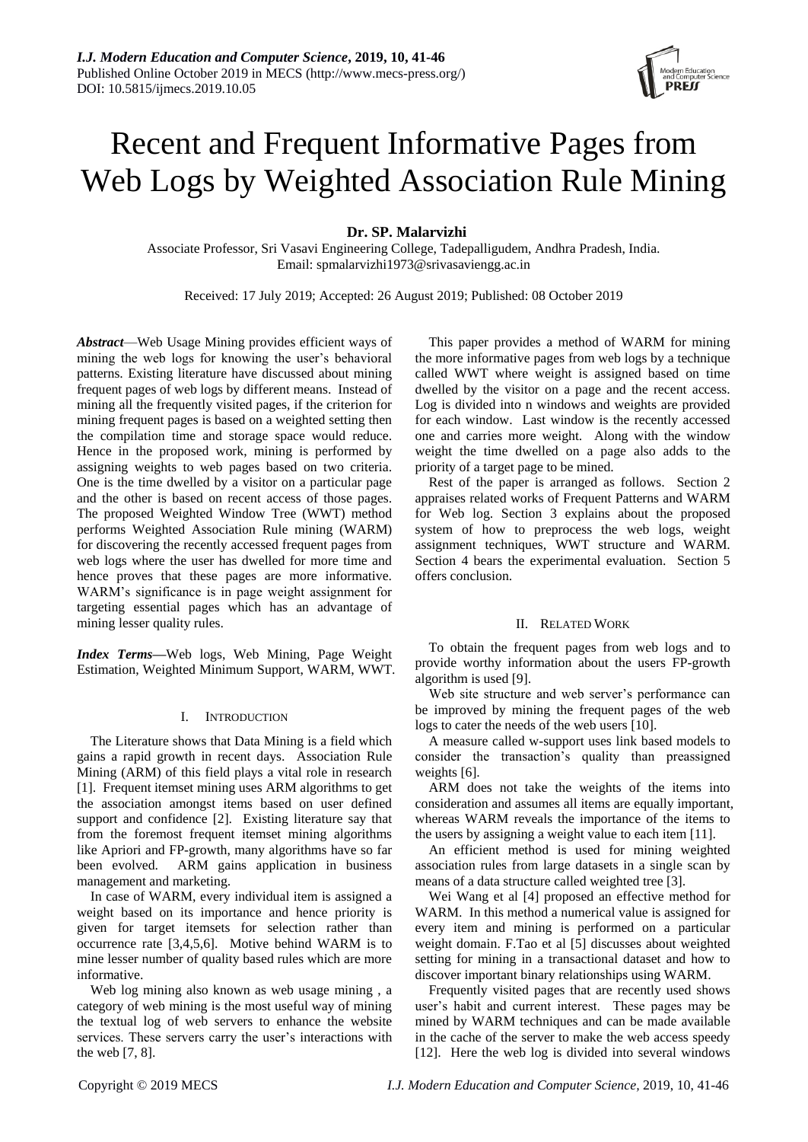# Recent and Frequent Informative Pages from Web Logs by Weighted Association Rule Mining

**Dr. SP. Malarvizhi** 

Associate Professor, Sri Vasavi Engineering College, Tadepalligudem, Andhra Pradesh, India. Email: spmalarvizhi1973@srivasaviengg.ac.in

Received: 17 July 2019; Accepted: 26 August 2019; Published: 08 October 2019

*Abstract*—Web Usage Mining provides efficient ways of mining the web logs for knowing the user's behavioral patterns. Existing literature have discussed about mining frequent pages of web logs by different means. Instead of mining all the frequently visited pages, if the criterion for mining frequent pages is based on a weighted setting then the compilation time and storage space would reduce. Hence in the proposed work, mining is performed by assigning weights to web pages based on two criteria. One is the time dwelled by a visitor on a particular page and the other is based on recent access of those pages. The proposed Weighted Window Tree (WWT) method performs Weighted Association Rule mining (WARM) for discovering the recently accessed frequent pages from web logs where the user has dwelled for more time and hence proves that these pages are more informative. WARM's significance is in page weight assignment for targeting essential pages which has an advantage of mining lesser quality rules.

*Index Terms***—**Web logs, Web Mining, Page Weight Estimation, Weighted Minimum Support, WARM, WWT.

# I. INTRODUCTION

The Literature shows that Data Mining is a field which gains a rapid growth in recent days. Association Rule Mining (ARM) of this field plays a vital role in research [1]. Frequent itemset mining uses ARM algorithms to get the association amongst items based on user defined support and confidence [2]. Existing literature say that from the foremost frequent itemset mining algorithms like Apriori and FP-growth, many algorithms have so far been evolved. ARM gains application in business management and marketing.

In case of WARM, every individual item is assigned a weight based on its importance and hence priority is given for target itemsets for selection rather than occurrence rate [3,4,5,6]. Motive behind WARM is to mine lesser number of quality based rules which are more informative.

Web log mining also known as web usage mining , a category of web mining is the most useful way of mining the textual log of web servers to enhance the website services. These servers carry the user's interactions with the web [7, 8].

This paper provides a method of WARM for mining the more informative pages from web logs by a technique called WWT where weight is assigned based on time dwelled by the visitor on a page and the recent access. Log is divided into n windows and weights are provided for each window. Last window is the recently accessed one and carries more weight. Along with the window weight the time dwelled on a page also adds to the priority of a target page to be mined.

Rest of the paper is arranged as follows. Section 2 appraises related works of Frequent Patterns and WARM for Web log. Section 3 explains about the proposed system of how to preprocess the web logs, weight assignment techniques, WWT structure and WARM. Section 4 bears the experimental evaluation. Section 5 offers conclusion.

# II. RELATED WORK

To obtain the frequent pages from web logs and to provide worthy information about the users FP-growth algorithm is used [9].

Web site structure and web server's performance can be improved by mining the frequent pages of the web logs to cater the needs of the web users [10].

A measure called w-support uses link based models to consider the transaction's quality than preassigned weights [6].

ARM does not take the weights of the items into consideration and assumes all items are equally important, whereas WARM reveals the importance of the items to the users by assigning a weight value to each item [11].

An efficient method is used for mining weighted association rules from large datasets in a single scan by means of a data structure called weighted tree [3].

Wei Wang et al [4] proposed an effective method for WARM. In this method a numerical value is assigned for every item and mining is performed on a particular weight domain. F.Tao et al [5] discusses about weighted setting for mining in a transactional dataset and how to discover important binary relationships using WARM.

Frequently visited pages that are recently used shows user's habit and current interest. These pages may be mined by WARM techniques and can be made available in the cache of the server to make the web access speedy [12]. Here the web log is divided into several windows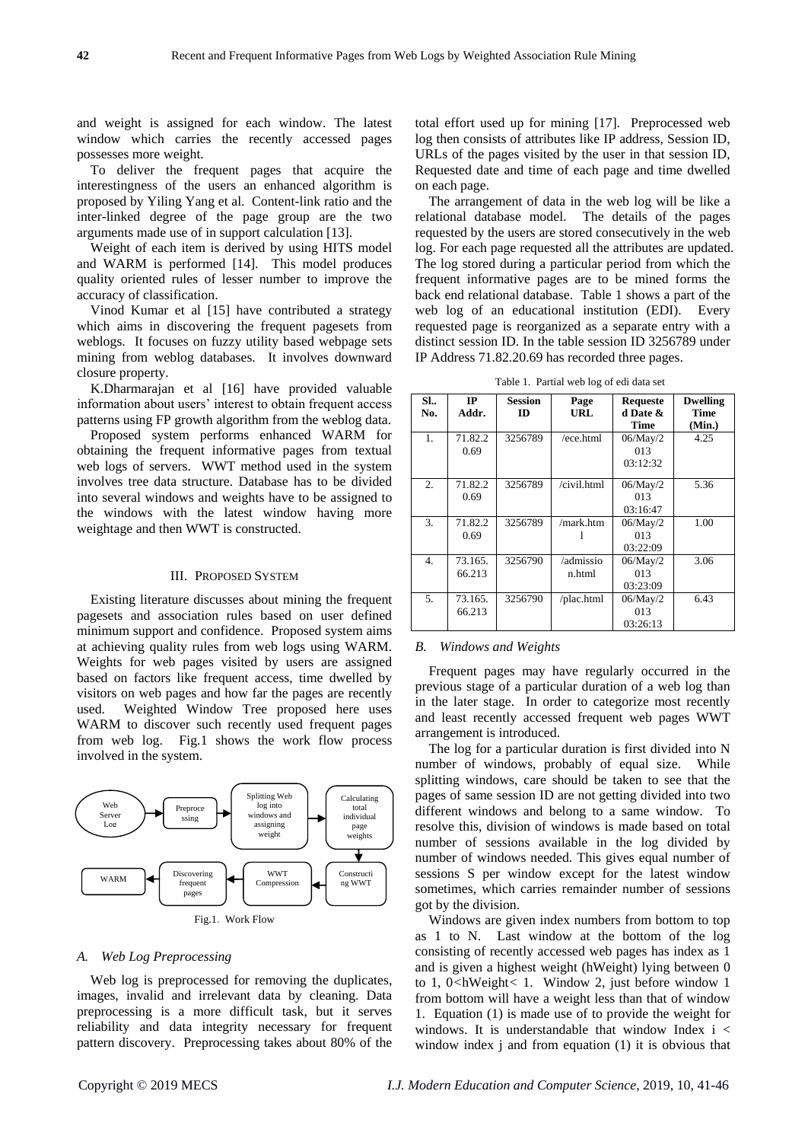and weight is assigned for each window. The latest window which carries the recently accessed pages possesses more weight.

To deliver the frequent pages that acquire the interestingness of the users an enhanced algorithm is proposed by Yiling Yang et al. Content-link ratio and the inter-linked degree of the page group are the two arguments made use of in support calculation [13].

Weight of each item is derived by using HITS model and WARM is performed [14]. This model produces quality oriented rules of lesser number to improve the accuracy of classification.

Vinod Kumar et al [15] have contributed a strategy which aims in discovering the frequent pagesets from weblogs. It focuses on fuzzy utility based webpage sets mining from weblog databases. It involves downward closure property.

K.Dharmarajan et al [16] have provided valuable information about users' interest to obtain frequent access patterns using FP growth algorithm from the weblog data.

Proposed system performs enhanced WARM for obtaining the frequent informative pages from textual web logs of servers. WWT method used in the system involves tree data structure. Database has to be divided into several windows and weights have to be assigned to the windows with the latest window having more weightage and then WWT is constructed.

# III. PROPOSED SYSTEM

Existing literature discusses about mining the frequent pagesets and association rules based on user defined minimum support and confidence. Proposed system aims at achieving quality rules from web logs using WARM. Weights for web pages visited by users are assigned based on factors like frequent access, time dwelled by visitors on web pages and how far the pages are recently used. Weighted Window Tree proposed here uses WARM to discover such recently used frequent pages from web log. Fig.1 shows the work flow process involved in the system.



*A. Web Log Preprocessing*

Web log is preprocessed for removing the duplicates, images, invalid and irrelevant data by cleaning. Data preprocessing is a more difficult task, but it serves reliability and data integrity necessary for frequent pattern discovery. Preprocessing takes about 80% of the total effort used up for mining [17]. Preprocessed web log then consists of attributes like IP address, Session ID, URLs of the pages visited by the user in that session ID, Requested date and time of each page and time dwelled on each page.

The arrangement of data in the web log will be like a relational database model. The details of the pages requested by the users are stored consecutively in the web log. For each page requested all the attributes are updated. The log stored during a particular period from which the frequent informative pages are to be mined forms the back end relational database. Table 1 shows a part of the web log of an educational institution (EDI). Every requested page is reorganized as a separate entry with a distinct session ID. In the table session ID 3256789 under IP Address 71.82.20.69 has recorded three pages.

| SI.<br>No. | IP<br>Addr.       | <b>Session</b><br>ID | Page<br>URL         | <b>Requeste</b><br>d Date &<br><b>Time</b> | <b>Dwelling</b><br>Time<br>(Min.) |
|------------|-------------------|----------------------|---------------------|--------------------------------------------|-----------------------------------|
| 1.         | 71.82.2<br>0.69   | 3256789              | $/$ ece.html        | 06/May/2<br>013<br>03:12:32                | 4.25                              |
| 2.         | 71.82.2<br>0.69   | 3256789              | /civil.html         | 06/May/2<br>013<br>03:16:47                | 5.36                              |
| 3.         | 71.82.2<br>0.69   | 3256789              | /mark.htm           | $06/M$ ay/2<br>013<br>03:22:09             | 1.00                              |
| 4.         | 73.165.<br>66.213 | 3256790              | /admissio<br>n.html | 06/May/2<br>013<br>03:23:09                | 3.06                              |
| 5.         | 73.165.<br>66.213 | 3256790              | /plac.html          | 06/May/2<br>013<br>03:26:13                | 6.43                              |

Table 1. Partial web log of edi data set

# *B. Windows and Weights*

Frequent pages may have regularly occurred in the previous stage of a particular duration of a web log than in the later stage. In order to categorize most recently and least recently accessed frequent web pages WWT arrangement is introduced.

The log for a particular duration is first divided into N number of windows, probably of equal size. While splitting windows, care should be taken to see that the pages of same session ID are not getting divided into two different windows and belong to a same window. To resolve this, division of windows is made based on total number of sessions available in the log divided by number of windows needed. This gives equal number of sessions S per window except for the latest window sometimes, which carries remainder number of sessions got by the division.

Windows are given index numbers from bottom to top as 1 to N. Last window at the bottom of the log consisting of recently accessed web pages has index as 1 and is given a highest weight (hWeight) lying between 0 to 1, 0*<*hWeight*<* 1. Window 2, just before window 1 from bottom will have a weight less than that of window 1. Equation (1) is made use of to provide the weight for windows. It is understandable that window Index i < window index j and from equation (1) it is obvious that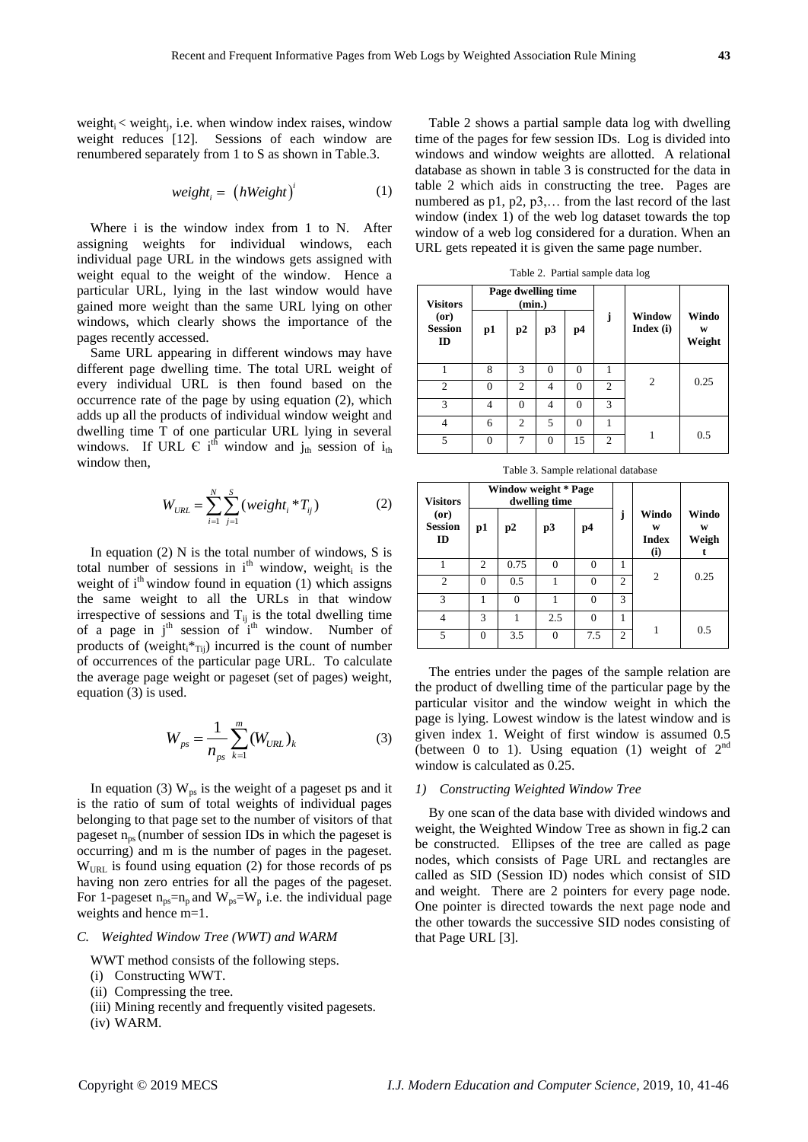weight $i <$  weight $j$ , i.e. when window index raises, window weight reduces [12]. Sessions of each window are renumbered separately from 1 to S as shown in Table.3.

$$
weight_i = (hWeight)^i \tag{1}
$$

Where i is the window index from 1 to N. After assigning weights for individual windows, each individual page URL in the windows gets assigned with weight equal to the weight of the window. Hence a particular URL, lying in the last window would have gained more weight than the same URL lying on other windows, which clearly shows the importance of the pages recently accessed.

Same URL appearing in different windows may have different page dwelling time. The total URL weight of every individual URL is then found based on the occurrence rate of the page by using equation (2), which adds up all the products of individual window weight and dwelling time T of one particular URL lying in several windows. If URL  $\in$  i<sup>th</sup> window and j<sub>th</sub> session of i<sub>th</sub> window then.

$$
W_{URL} = \sum_{i=1}^{N} \sum_{j=1}^{S} (weight_i * T_{ij})
$$
 (2)

In equation  $(2)$  N is the total number of windows, S is total number of sessions in  $i<sup>th</sup>$  window, weight, is the weight of  $i<sup>th</sup>$  window found in equation (1) which assigns the same weight to all the URLs in that window irrespective of sessions and  $T_{ij}$  is the total dwelling time of a page in  $j<sup>th</sup>$  session of  $i<sup>th</sup>$  window. Number of products of (weight $x^*$ <sub>Tij</sub>) incurred is the count of number of occurrences of the particular page URL. To calculate the average page weight or pageset (set of pages) weight, equation (3) is used.

$$
W_{ps} = \frac{1}{n_{ps}} \sum_{k=1}^{m} (W_{URL})_k
$$
 (3)

In equation (3)  $W_{ps}$  is the weight of a pageset ps and it is the ratio of sum of total weights of individual pages belonging to that page set to the number of visitors of that pageset  $n_{ps}$  (number of session IDs in which the pageset is occurring) and m is the number of pages in the pageset.  $W<sub>URL</sub>$  is found using equation (2) for those records of ps having non zero entries for all the pages of the pageset. For 1-pageset  $n_{ps}=n_p$  and  $W_{ps}=W_p$  i.e. the individual page weights and hence m=1.

# *C. Weighted Window Tree (WWT) and WARM*

WWT method consists of the following steps.

- (i) Constructing WWT.
- (ii) Compressing the tree.
- (iii) Mining recently and frequently visited pagesets.
- (iv) WARM.

Table 2 shows a partial sample data log with dwelling time of the pages for few session IDs. Log is divided into windows and window weights are allotted. A relational database as shown in table 3 is constructed for the data in table 2 which aids in constructing the tree. Pages are numbered as p1, p2, p3,... from the last record of the last window (index 1) of the web log dataset towards the top window of a web log considered for a duration. When an URL gets repeated it is given the same page number.

Table 2. Partial sample data log

| <b>Visitors</b>              | Page dwelling time<br>(min.) |                |          |          |                |                     |                      |
|------------------------------|------------------------------|----------------|----------|----------|----------------|---------------------|----------------------|
| (or)<br><b>Session</b><br>ID | p1                           | p2             | p3       | p4       | j              | Window<br>Index (i) | Windo<br>W<br>Weight |
|                              | 8                            | $\mathcal{R}$  | $\theta$ | 0        |                |                     |                      |
| $\overline{c}$               | 0                            | $\overline{c}$ | 4        | $\Omega$ | 2              | $\overline{c}$      | 0.25                 |
| 3                            | 4                            | $\Omega$       | 4        | $\Omega$ | 3              |                     |                      |
| 4                            | 6                            | $\mathcal{D}$  | 5        | $\Omega$ |                |                     |                      |
| 5                            | 0                            |                | $\Omega$ | 15       | $\overline{c}$ |                     | 0.5                  |

Table 3. Sample relational database

| <b>Visitors</b>              | Window weight * Page<br>dwelling time |      |          |          |                |                                   |                     |
|------------------------------|---------------------------------------|------|----------|----------|----------------|-----------------------------------|---------------------|
| (0r)<br><b>Session</b><br>ID | p1                                    | p2   | p3       | p4       | Ĵ              | Windo<br>W<br><b>Index</b><br>(i) | Windo<br>W<br>Weigh |
|                              | 2                                     | 0.75 | $\Omega$ | $\Omega$ |                |                                   |                     |
| $\overline{c}$               | 0                                     | 0.5  |          | $\Omega$ | $\mathfrak{D}$ | $\overline{c}$                    | 0.25                |
| 3                            |                                       | 0    |          | 0        | 3              |                                   |                     |
| 4                            | 3                                     |      | 2.5      | $\theta$ |                |                                   |                     |
| 5                            | 0                                     | 3.5  | 0        | 7.5      | $\mathfrak{D}$ |                                   | 0.5                 |

The entries under the pages of the sample relation are the product of dwelling time of the particular page by the particular visitor and the window weight in which the page is lying. Lowest window is the latest window and is given index 1. Weight of first window is assumed 0.5 (between 0 to 1). Using equation (1) weight of  $2<sup>nd</sup>$ window is calculated as 0.25.

#### *1) Constructing Weighted Window Tree*

By one scan of the data base with divided windows and weight, the Weighted Window Tree as shown in fig.2 can be constructed. Ellipses of the tree are called as page nodes, which consists of Page URL and rectangles are called as SID (Session ID) nodes which consist of SID and weight. There are 2 pointers for every page node. One pointer is directed towards the next page node and the other towards the successive SID nodes consisting of that Page URL [3].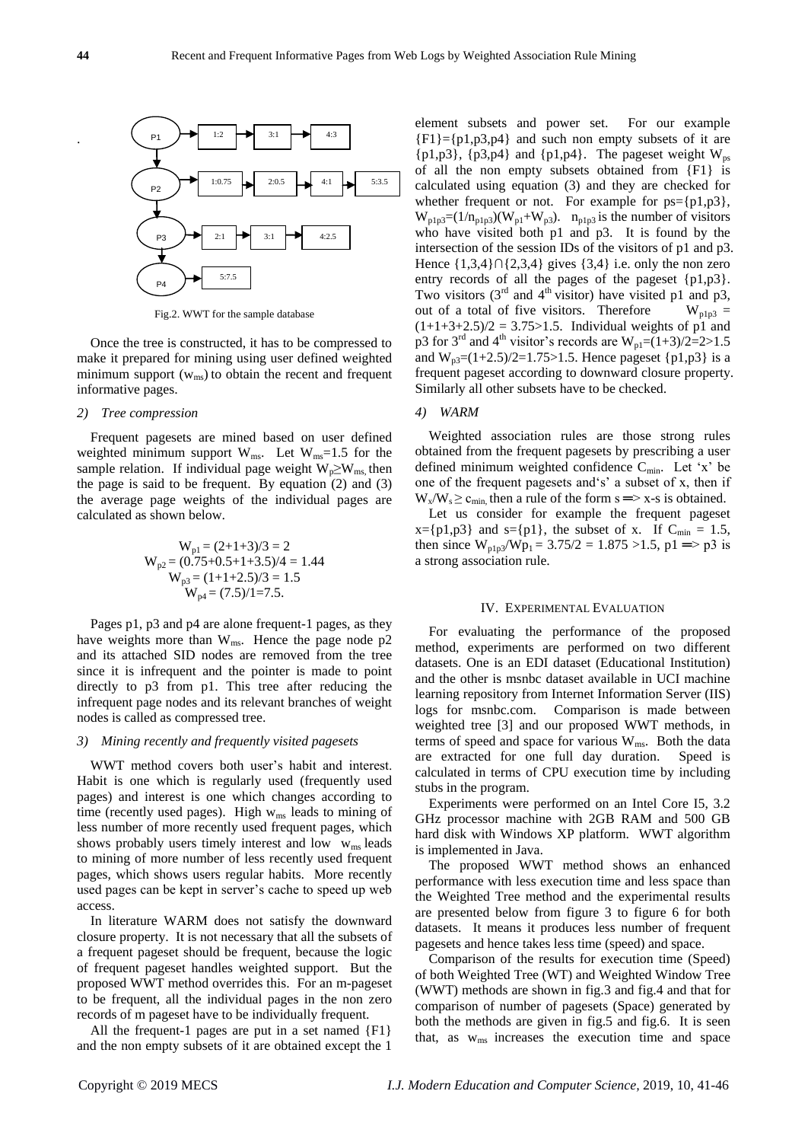.



Fig.2. WWT for the sample database

Once the tree is constructed, it has to be compressed to make it prepared for mining using user defined weighted minimum support  $(w_{ms})$  to obtain the recent and frequent informative pages.

#### *2) Tree compression*

Frequent pagesets are mined based on user defined weighted minimum support  $W_{ms}$ . Let  $W_{ms}$ =1.5 for the sample relation. If individual page weight  $W_p \geq W_{ms}$ , then the page is said to be frequent. By equation  $(2)$  and  $(3)$ the average page weights of the individual pages are calculated as shown below.

$$
W_{p1} = (2+1+3)/3 = 2
$$
  
\n
$$
W_{p2} = (0.75+0.5+1+3.5)/4 = 1.44
$$
  
\n
$$
W_{p3} = (1+1+2.5)/3 = 1.5
$$
  
\n
$$
W_{p4} = (7.5)/1 = 7.5.
$$

Pages p1, p3 and p4 are alone frequent-1 pages, as they have weights more than  $W_{ms}$ . Hence the page node p2 and its attached SID nodes are removed from the tree since it is infrequent and the pointer is made to point directly to p3 from p1. This tree after reducing the infrequent page nodes and its relevant branches of weight nodes is called as compressed tree.

# *3) Mining recently and frequently visited pagesets*

WWT method covers both user's habit and interest. Habit is one which is regularly used (frequently used pages) and interest is one which changes according to time (recently used pages). High w<sub>ms</sub> leads to mining of less number of more recently used frequent pages, which shows probably users timely interest and low  $w_{\text{ms}}$  leads to mining of more number of less recently used frequent pages, which shows users regular habits. More recently used pages can be kept in server's cache to speed up web access.

In literature WARM does not satisfy the downward closure property. It is not necessary that all the subsets of a frequent pageset should be frequent, because the logic of frequent pageset handles weighted support. But the proposed WWT method overrides this. For an m-pageset to be frequent, all the individual pages in the non zero records of m pageset have to be individually frequent.

All the frequent-1 pages are put in a set named {F1} and the non empty subsets of it are obtained except the 1

element subsets and power set. For our example  ${F1}={p1,p3,p4}$  and such non empty subsets of it are  ${p1,p3}, {p3,p4}$  and  ${p1,p4}$ . The pageset weight  $W_{ps}$ of all the non empty subsets obtained from {F1} is calculated using equation (3) and they are checked for whether frequent or not. For example for  $ps = \{p1, p3\}$ ,  $W_{\text{plp3}}=(1/n_{\text{plp3}})(W_{\text{pl}}+W_{\text{p3}})$ .  $n_{\text{plp3}}$  is the number of visitors who have visited both p1 and p3. It is found by the intersection of the session IDs of the visitors of p1 and p3. Hence {1,3,4}*∩*{2,3,4} gives {3,4} i.e. only the non zero entry records of all the pages of the pageset {p1,p3}. Two visitors  $(3<sup>rd</sup>$  and  $4<sup>th</sup>$  visitor) have visited p1 and p3, out of a total of five visitors. Therefore  $W_{p1p3} =$  $(1+1+3+2.5)/2 = 3.75 > 1.5$ . Individual weights of p1 and p3 for 3<sup>rd</sup> and 4<sup>th</sup> visitor's records are  $W_{\text{pl}} = (1+3)/2 = 2 > 1.5$ and  $W_{p3}=(1+2.5)/2=1.75>1.5$ . Hence pages  $\{p1,p3\}$  is a frequent pageset according to downward closure property. Similarly all other subsets have to be checked.

### *4) WARM*

Weighted association rules are those strong rules obtained from the frequent pagesets by prescribing a user defined minimum weighted confidence  $C_{min}$ . Let 'x' be one of the frequent pagesets and's' a subset of x, then if  $W_y/W_s \geq c_{\min}$  then a rule of the form  $s \implies x-s$  is obtained.

Let us consider for example the frequent pageset  $x=[p1,p3]$  and  $s=[p1]$ , the subset of x. If  $C_{min} = 1.5$ , then since  $W_{p1p3}/Wp_1 = 3.75/2 = 1.875 > 1.5$ ,  $p1 \implies p3$  is a strong association rule.

#### IV. EXPERIMENTAL EVALUATION

For evaluating the performance of the proposed method, experiments are performed on two different datasets. One is an EDI dataset (Educational Institution) and the other is msnbc dataset available in UCI machine learning repository from Internet Information Server (IIS) logs for msnbc.com. Comparison is made between weighted tree [3] and our proposed WWT methods, in terms of speed and space for various  $W_{\text{ms}}$ . Both the data are extracted for one full day duration. Speed is calculated in terms of CPU execution time by including stubs in the program.

Experiments were performed on an Intel Core I5, 3.2 GHz processor machine with 2GB RAM and 500 GB hard disk with Windows XP platform. WWT algorithm is implemented in Java.

The proposed WWT method shows an enhanced performance with less execution time and less space than the Weighted Tree method and the experimental results are presented below from figure 3 to figure 6 for both datasets. It means it produces less number of frequent pagesets and hence takes less time (speed) and space.

Comparison of the results for execution time (Speed) of both Weighted Tree (WT) and Weighted Window Tree (WWT) methods are shown in fig.3 and fig.4 and that for comparison of number of pagesets (Space) generated by both the methods are given in fig.5 and fig.6. It is seen that, as  $w_{\text{ms}}$  increases the execution time and space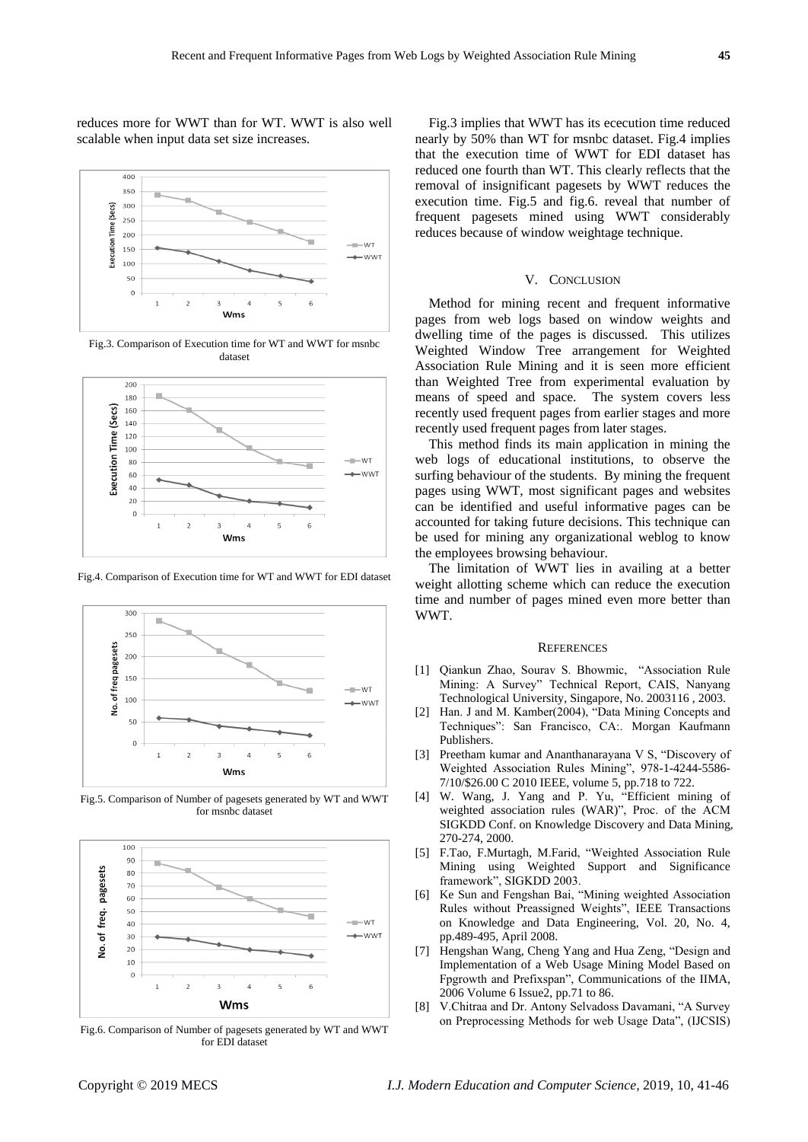reduces more for WWT than for WT. WWT is also well scalable when input data set size increases.



Fig.3. Comparison of Execution time for WT and WWT for msnbc dataset



Fig.4. Comparison of Execution time for WT and WWT for EDI dataset



Fig.5. Comparison of Number of pagesets generated by WT and WWT for msnbc dataset



Fig.6. Comparison of Number of pagesets generated by WT and WWT for EDI dataset

Fig.3 implies that WWT has its ececution time reduced nearly by 50% than WT for msnbc dataset. Fig.4 implies that the execution time of WWT for EDI dataset has reduced one fourth than WT. This clearly reflects that the removal of insignificant pagesets by WWT reduces the execution time. Fig.5 and fig.6. reveal that number of frequent pagesets mined using WWT considerably reduces because of window weightage technique.

## V. CONCLUSION

Method for mining recent and frequent informative pages from web logs based on window weights and dwelling time of the pages is discussed. This utilizes Weighted Window Tree arrangement for Weighted Association Rule Mining and it is seen more efficient than Weighted Tree from experimental evaluation by means of speed and space. The system covers less recently used frequent pages from earlier stages and more recently used frequent pages from later stages.

This method finds its main application in mining the web logs of educational institutions, to observe the surfing behaviour of the students. By mining the frequent pages using WWT, most significant pages and websites can be identified and useful informative pages can be accounted for taking future decisions. This technique can be used for mining any organizational weblog to know the employees browsing behaviour.

The limitation of WWT lies in availing at a better weight allotting scheme which can reduce the execution time and number of pages mined even more better than WWT.

#### **REFERENCES**

- [1] Qiankun Zhao, Sourav S. Bhowmic, "Association Rule Mining: A Survey" Technical Report, CAIS, Nanyang Technological University, Singapore, No. 2003116 , 2003.
- [2] Han. J and M. Kamber(2004), "Data Mining Concepts and Techniques": San Francisco, CA:. Morgan Kaufmann Publishers.
- [3] Preetham kumar and Ananthanarayana V S, "Discovery of Weighted Association Rules Mining", 978-1-4244-5586- 7/10/\$26.00 C 2010 IEEE, volume 5, pp.718 to 722.
- [4] W. Wang, J. Yang and P. Yu, "Efficient mining of weighted association rules (WAR)", Proc. of the ACM SIGKDD Conf. on Knowledge Discovery and Data Mining, 270-274, 2000.
- [5] F.Tao, F.Murtagh, M.Farid, "Weighted Association Rule Mining using Weighted Support and Significance framework", SIGKDD 2003.
- [6] Ke Sun and Fengshan Bai, "Mining weighted Association Rules without Preassigned Weights", IEEE Transactions on Knowledge and Data Engineering, Vol. 20, No. 4, pp.489-495, April 2008.
- [7] Hengshan Wang, Cheng Yang and Hua Zeng, "Design and Implementation of a Web Usage Mining Model Based on Fpgrowth and Prefixspan", Communications of the IIMA, 2006 Volume 6 Issue2, pp.71 to 86.
- [8] V.Chitraa and Dr. Antony Selvadoss Davamani, "A Survey on Preprocessing Methods for web Usage Data", (IJCSIS)